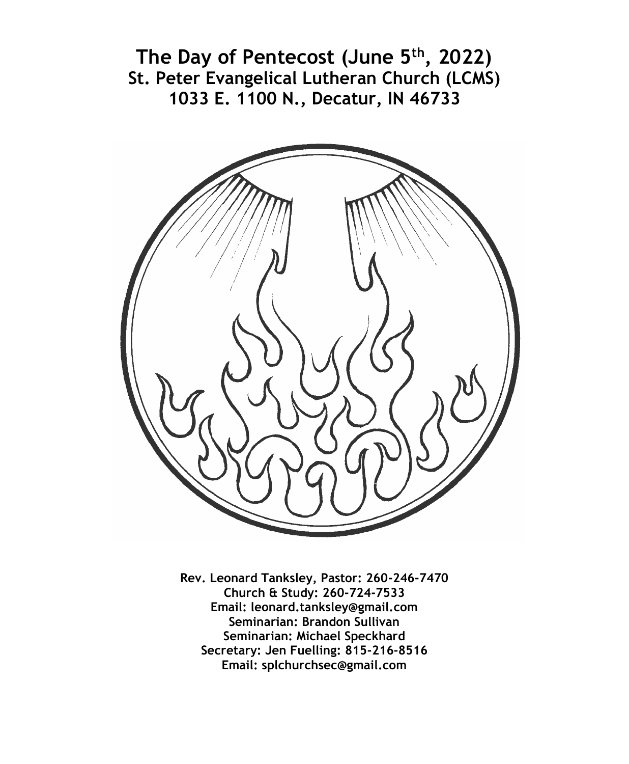**The Day of Pentecost (June 5th, 2022) St. Peter Evangelical Lutheran Church (LCMS) 1033 E. 1100 N., Decatur, IN 46733**



**Rev. Leonard Tanksley, Pastor: 260-246-7470 Church & Study: 260-724-7533 Email: leonard.tanksley@gmail.com Seminarian: Brandon Sullivan Seminarian: Michael Speckhard Secretary: Jen Fuelling: 815-216-8516 Email: splchurchsec@gmail.com**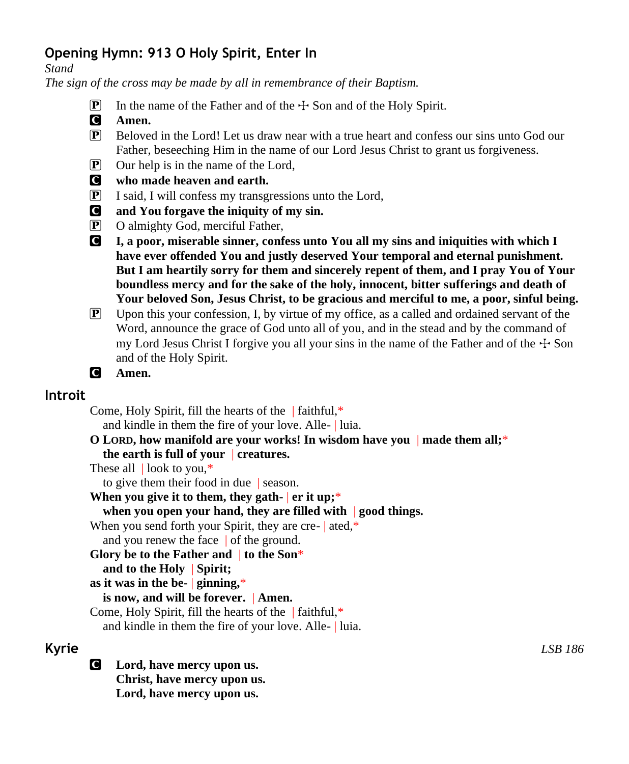# **Opening Hymn: 913 O Holy Spirit, Enter In**

*Stand*

*The sign of the cross may be made by all in remembrance of their Baptism.*

- **P** In the name of the Father and of the  $\pm$  Son and of the Holy Spirit.<br> **C** Amen.
- Amen.
- P Beloved in the Lord! Let us draw near with a true heart and confess our sins unto God our Father, beseeching Him in the name of our Lord Jesus Christ to grant us forgiveness.
- $\overline{P}$  Our help is in the name of the Lord,
- C **who made heaven and earth.**
- $\boxed{\mathbf{P}}$  I said, I will confess my transgressions unto the Lord,
- C **and You forgave the iniquity of my sin.**
- P O almighty God, merciful Father,
- C **I, a poor, miserable sinner, confess unto You all my sins and iniquities with which I have ever offended You and justly deserved Your temporal and eternal punishment. But I am heartily sorry for them and sincerely repent of them, and I pray You of Your boundless mercy and for the sake of the holy, innocent, bitter sufferings and death of Your beloved Son, Jesus Christ, to be gracious and merciful to me, a poor, sinful being.**
- P Upon this your confession, I, by virtue of my office, as a called and ordained servant of the Word, announce the grace of God unto all of you, and in the stead and by the command of my Lord Jesus Christ I forgive you all your sins in the name of the Father and of the  $\pm$  Son and of the Holy Spirit.

```
C Amen.
```
## **Introit**

Come, Holy Spirit, fill the hearts of the | faithful,\* and kindle in them the fire of your love. Alle- | luia.

#### **O LORD, how manifold are your works! In wisdom have you** | **made them all;**\* **the earth is full of your** | **creatures.**

These all | look to you.\*

to give them their food in due | season.

**When you give it to them, they gath-** | **er it up;**\*

#### **when you open your hand, they are filled with** | **good things.**

When you send forth your Spirit, they are cre- | ated,\*

and you renew the face | of the ground.

- **Glory be to the Father and** | **to the Son**\*
- **and to the Holy** | **Spirit;**

**as it was in the be-** | **ginning,**\*

**is now, and will be forever.** | **Amen.**

Come, Holy Spirit, fill the hearts of the | faithful,\*

and kindle in them the fire of your love. Alle- | luia.

C **Lord, have mercy upon us. Christ, have mercy upon us. Lord, have mercy upon us.**

**Kyrie** *LSB 186*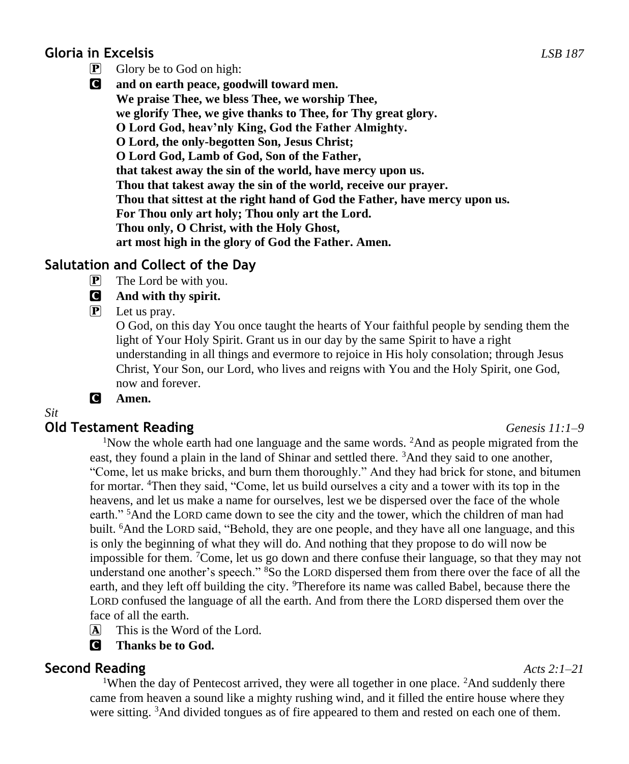## **Gloria in Excelsis** *LSB 187*

- $\boxed{\mathbf{P}}$  Glory be to God on high:
- C **and on earth peace, goodwill toward men. We praise Thee, we bless Thee, we worship Thee, we glorify Thee, we give thanks to Thee, for Thy great glory. O Lord God, heav'nly King, God the Father Almighty. O Lord, the only-begotten Son, Jesus Christ; O Lord God, Lamb of God, Son of the Father, that takest away the sin of the world, have mercy upon us. Thou that takest away the sin of the world, receive our prayer. Thou that sittest at the right hand of God the Father, have mercy upon us. For Thou only art holy; Thou only art the Lord. Thou only, O Christ, with the Holy Ghost, art most high in the glory of God the Father. Amen.**

# **Salutation and Collect of the Day**

 $\mathbf{P}$  The Lord be with you.

### C **And with thy spirit.**

 $[\mathbf{P}]$  Let us pray.

O God, on this day You once taught the hearts of Your faithful people by sending them the light of Your Holy Spirit. Grant us in our day by the same Spirit to have a right understanding in all things and evermore to rejoice in His holy consolation; through Jesus Christ, Your Son, our Lord, who lives and reigns with You and the Holy Spirit, one God, now and forever.

### C **Amen.**

### *Sit*

### **Old Testament Reading** *Genesis 11:1–9*

<sup>1</sup>Now the whole earth had one language and the same words. <sup>2</sup>And as people migrated from the east, they found a plain in the land of Shinar and settled there. <sup>3</sup>And they said to one another, "Come, let us make bricks, and burn them thoroughly." And they had brick for stone, and bitumen for mortar. <sup>4</sup>Then they said, "Come, let us build ourselves a city and a tower with its top in the heavens, and let us make a name for ourselves, lest we be dispersed over the face of the whole earth." <sup>5</sup>And the LORD came down to see the city and the tower, which the children of man had built. <sup>6</sup>And the LORD said, "Behold, they are one people, and they have all one language, and this is only the beginning of what they will do. And nothing that they propose to do will now be impossible for them. <sup>7</sup>Come, let us go down and there confuse their language, so that they may not understand one another's speech." <sup>8</sup>So the LORD dispersed them from there over the face of all the earth, and they left off building the city. <sup>9</sup>Therefore its name was called Babel, because there the LORD confused the language of all the earth. And from there the LORD dispersed them over the face of all the earth.

- $\overline{A}$  This is the Word of the Lord.
- C **Thanks be to God.**

# **Second Reading** *Acts 2:1–21*

<sup>1</sup>When the day of Pentecost arrived, they were all together in one place. <sup>2</sup>And suddenly there came from heaven a sound like a mighty rushing wind, and it filled the entire house where they were sitting. <sup>3</sup>And divided tongues as of fire appeared to them and rested on each one of them.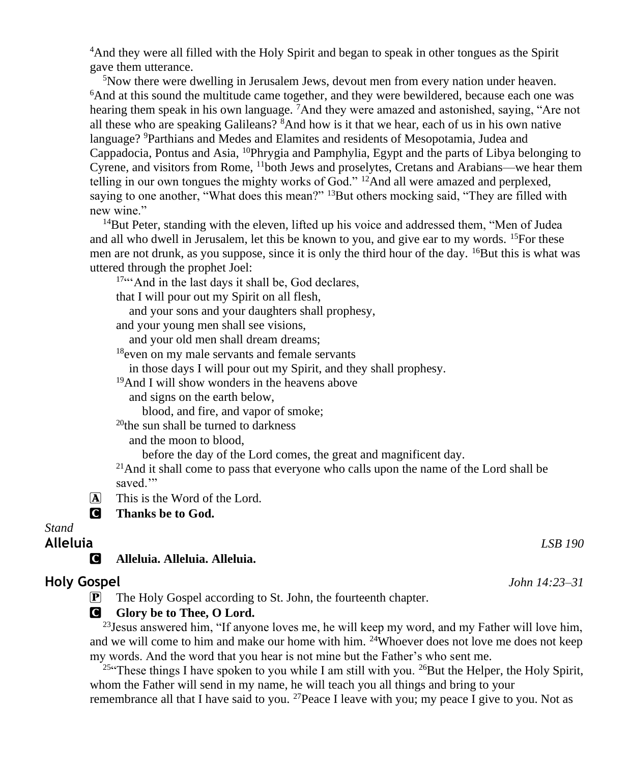<sup>4</sup>And they were all filled with the Holy Spirit and began to speak in other tongues as the Spirit gave them utterance.

 $5$ Now there were dwelling in Jerusalem Jews, devout men from every nation under heaven. <sup>6</sup>And at this sound the multitude came together, and they were bewildered, because each one was hearing them speak in his own language. <sup>7</sup>And they were amazed and astonished, saying, "Are not all these who are speaking Galileans? <sup>8</sup>And how is it that we hear, each of us in his own native language? <sup>9</sup>Parthians and Medes and Elamites and residents of Mesopotamia, Judea and Cappadocia, Pontus and Asia, <sup>10</sup>Phrygia and Pamphylia, Egypt and the parts of Libya belonging to Cyrene, and visitors from Rome, <sup>11</sup>both Jews and proselytes, Cretans and Arabians—we hear them telling in our own tongues the mighty works of God." <sup>12</sup>And all were amazed and perplexed, saying to one another, "What does this mean?" <sup>13</sup>But others mocking said, "They are filled with new wine."

<sup>14</sup>But Peter, standing with the eleven, lifted up his voice and addressed them, "Men of Judea" and all who dwell in Jerusalem, let this be known to you, and give ear to my words. <sup>15</sup>For these men are not drunk, as you suppose, since it is only the third hour of the day. <sup>16</sup>But this is what was uttered through the prophet Joel:

17""And in the last days it shall be, God declares,

that I will pour out my Spirit on all flesh,

and your sons and your daughters shall prophesy,

and your young men shall see visions,

and your old men shall dream dreams;

<sup>18</sup>even on my male servants and female servants

in those days I will pour out my Spirit, and they shall prophesy.

<sup>19</sup>And I will show wonders in the heavens above

and signs on the earth below,

blood, and fire, and vapor of smoke;

 $20$ <sub>the sun shall be turned to darkness</sub>

and the moon to blood,

before the day of the Lord comes, the great and magnificent day.

 $21$ And it shall come to pass that everyone who calls upon the name of the Lord shall be saved."

 $\overline{A}$  This is the Word of the Lord.

#### C **Thanks be to God.**

#### *Stand*

C **Alleluia. Alleluia. Alleluia.**

#### **Holy Gospel** *John 14:23–31*

P The Holy Gospel according to St. John, the fourteenth chapter.

#### **G** Glory be to Thee, O Lord.

 $^{23}$  Jesus answered him, "If anyone loves me, he will keep my word, and my Father will love him, and we will come to him and make our home with him.  $24$ Whoever does not love me does not keep my words. And the word that you hear is not mine but the Father's who sent me.

<sup>25"</sup>These things I have spoken to you while I am still with you. <sup>26</sup>But the Helper, the Holy Spirit, whom the Father will send in my name, he will teach you all things and bring to your remembrance all that I have said to you. <sup>27</sup>Peace I leave with you; my peace I give to you. Not as

**Alleluia** *LSB 190*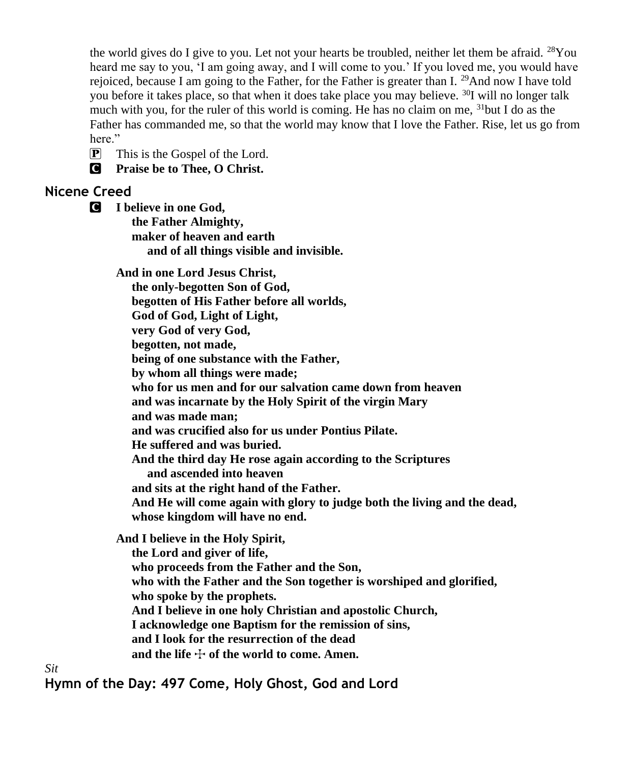the world gives do I give to you. Let not your hearts be troubled, neither let them be afraid. <sup>28</sup>You heard me say to you, 'I am going away, and I will come to you.' If you loved me, you would have rejoiced, because I am going to the Father, for the Father is greater than I. <sup>29</sup>And now I have told you before it takes place, so that when it does take place you may believe. <sup>30</sup>I will no longer talk much with you, for the ruler of this world is coming. He has no claim on me, <sup>31</sup>but I do as the Father has commanded me, so that the world may know that I love the Father. Rise, let us go from here."

P This is the Gospel of the Lord.

C **Praise be to Thee, O Christ.**

## **Nicene Creed**

C **I believe in one God,**

 **the Father Almighty, maker of heaven and earth and of all things visible and invisible.**

**And in one Lord Jesus Christ,**

 **the only-begotten Son of God, begotten of His Father before all worlds, God of God, Light of Light, very God of very God, begotten, not made, being of one substance with the Father, by whom all things were made; who for us men and for our salvation came down from heaven and was incarnate by the Holy Spirit of the virgin Mary and was made man; and was crucified also for us under Pontius Pilate. He suffered and was buried. And the third day He rose again according to the Scriptures and ascended into heaven and sits at the right hand of the Father. And He will come again with glory to judge both the living and the dead, whose kingdom will have no end. And I believe in the Holy Spirit, the Lord and giver of life, who proceeds from the Father and the Son, who with the Father and the Son together is worshiped and glorified, who spoke by the prophets. And I believe in one holy Christian and apostolic Church, I acknowledge one Baptism for the remission of sins, and I look for the resurrection of the dead** and the life  $\div$  of the world to come. Amen.

*Sit*

**Hymn of the Day: 497 Come, Holy Ghost, God and Lord**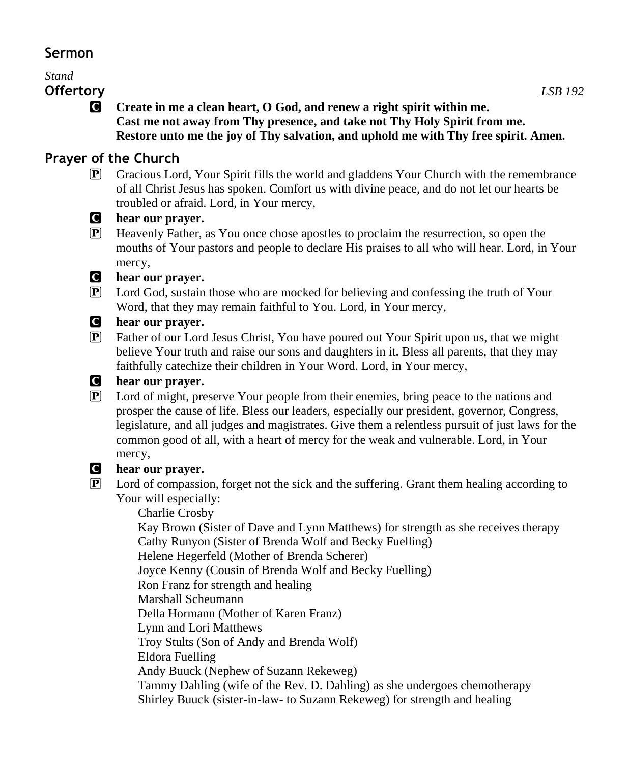## **Sermon**

# *Stand* **Offertory** *LSB 192*

C **Create in me a clean heart, O God, and renew a right spirit within me. Cast me not away from Thy presence, and take not Thy Holy Spirit from me. Restore unto me the joy of Thy salvation, and uphold me with Thy free spirit. Amen.**

# **Prayer of the Church**

P Gracious Lord, Your Spirit fills the world and gladdens Your Church with the remembrance of all Christ Jesus has spoken. Comfort us with divine peace, and do not let our hearts be troubled or afraid. Lord, in Your mercy,



P Heavenly Father, as You once chose apostles to proclaim the resurrection, so open the mouths of Your pastors and people to declare His praises to all who will hear. Lord, in Your mercy,

## C **hear our prayer.**

P Lord God, sustain those who are mocked for believing and confessing the truth of Your Word, that they may remain faithful to You. Lord, in Your mercy,

## C **hear our prayer.**

P Father of our Lord Jesus Christ, You have poured out Your Spirit upon us, that we might believe Your truth and raise our sons and daughters in it. Bless all parents, that they may faithfully catechize their children in Your Word. Lord, in Your mercy,

## C **hear our prayer.**

P Lord of might, preserve Your people from their enemies, bring peace to the nations and prosper the cause of life. Bless our leaders, especially our president, governor, Congress, legislature, and all judges and magistrates. Give them a relentless pursuit of just laws for the common good of all, with a heart of mercy for the weak and vulnerable. Lord, in Your mercy,

## C **hear our prayer.**

P Lord of compassion, forget not the sick and the suffering. Grant them healing according to Your will especially:

Charlie Crosby

 Kay Brown (Sister of Dave and Lynn Matthews) for strength as she receives therapy Cathy Runyon (Sister of Brenda Wolf and Becky Fuelling)

Helene Hegerfeld (Mother of Brenda Scherer)

Joyce Kenny (Cousin of Brenda Wolf and Becky Fuelling)

Ron Franz for strength and healing

Marshall Scheumann

Della Hormann (Mother of Karen Franz)

Lynn and Lori Matthews

Troy Stults (Son of Andy and Brenda Wolf)

Eldora Fuelling

Andy Buuck (Nephew of Suzann Rekeweg)

 Tammy Dahling (wife of the Rev. D. Dahling) as she undergoes chemotherapy Shirley Buuck (sister-in-law- to Suzann Rekeweg) for strength and healing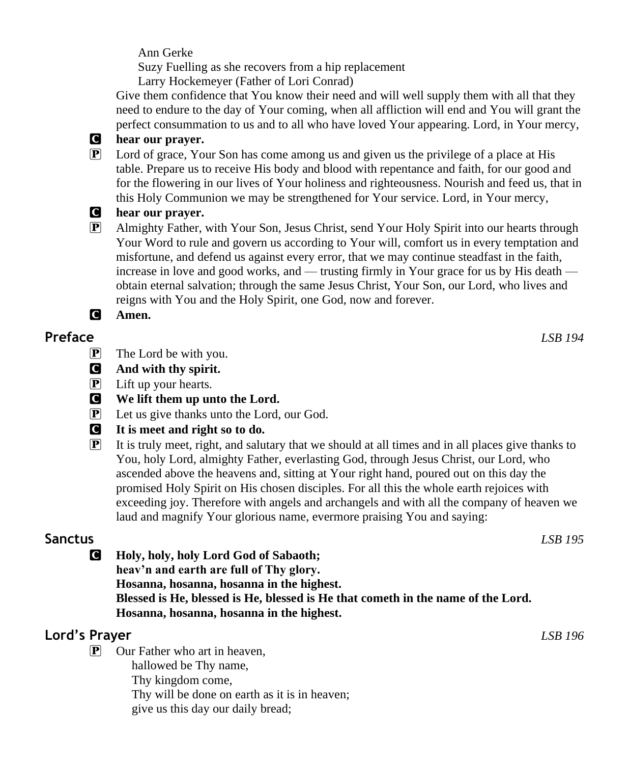Ann Gerke

Suzy Fuelling as she recovers from a hip replacement

Larry Hockemeyer (Father of Lori Conrad)

Give them confidence that You know their need and will well supply them with all that they need to endure to the day of Your coming, when all affliction will end and You will grant the perfect consummation to us and to all who have loved Your appearing. Lord, in Your mercy,

#### C **hear our prayer.**

P Lord of grace, Your Son has come among us and given us the privilege of a place at His table. Prepare us to receive His body and blood with repentance and faith, for our good and for the flowering in our lives of Your holiness and righteousness. Nourish and feed us, that in this Holy Communion we may be strengthened for Your service. Lord, in Your mercy,



- C **hear our prayer.**
- P Almighty Father, with Your Son, Jesus Christ, send Your Holy Spirit into our hearts through Your Word to rule and govern us according to Your will, comfort us in every temptation and misfortune, and defend us against every error, that we may continue steadfast in the faith, increase in love and good works, and — trusting firmly in Your grace for us by His death obtain eternal salvation; through the same Jesus Christ, Your Son, our Lord, who lives and reigns with You and the Holy Spirit, one God, now and forever.



## **Preface** *LSB 194*

- P The Lord be with you.
- C **And with thy spirit.**
- P Lift up your hearts.
- C **We lift them up unto the Lord.**
- P Let us give thanks unto the Lord, our God.
- C **It is meet and right so to do.**
- $\mathbf{P}$  It is truly meet, right, and salutary that we should at all times and in all places give thanks to You, holy Lord, almighty Father, everlasting God, through Jesus Christ, our Lord, who ascended above the heavens and, sitting at Your right hand, poured out on this day the promised Holy Spirit on His chosen disciples. For all this the whole earth rejoices with exceeding joy. Therefore with angels and archangels and with all the company of heaven we laud and magnify Your glorious name, evermore praising You and saying:

**Sanctus** *LSB 195* C **Holy, holy, holy Lord God of Sabaoth; heav'n and earth are full of Thy glory. Hosanna, hosanna, hosanna in the highest. Blessed is He, blessed is He, blessed is He that cometh in the name of the Lord. Hosanna, hosanna, hosanna in the highest.**

# **Lord's Prayer** *LSB 196*

 $\overline{P}$  Our Father who art in heaven. hallowed be Thy name, Thy kingdom come, Thy will be done on earth as it is in heaven; give us this day our daily bread;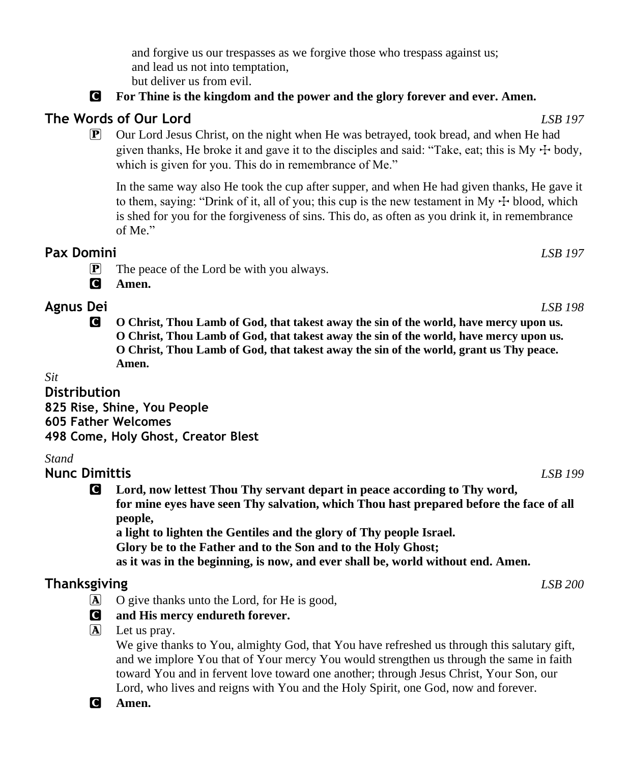and forgive us our trespasses as we forgive those who trespass against us; and lead us not into temptation, but deliver us from evil.

#### C **For Thine is the kingdom and the power and the glory forever and ever. Amen.**

#### **The Words of Our Lord** *LSB 197*

P Our Lord Jesus Christ, on the night when He was betrayed, took bread, and when He had given thanks, He broke it and gave it to the disciples and said: "Take, eat; this is My  $+$  body, which is given for you. This do in remembrance of Me."

In the same way also He took the cup after supper, and when He had given thanks, He gave it to them, saying: "Drink of it, all of you; this cup is the new testament in My  $\pm$  blood, which is shed for you for the forgiveness of sins. This do, as often as you drink it, in remembrance of Me."

#### **Pax Domini** *LSB 197*

 $\mathbf{P}$  The peace of the Lord be with you always.

C **Amen.**

### **Agnus Dei** *LSB 198*

C **O Christ, Thou Lamb of God, that takest away the sin of the world, have mercy upon us. O Christ, Thou Lamb of God, that takest away the sin of the world, have mercy upon us. O Christ, Thou Lamb of God, that takest away the sin of the world, grant us Thy peace. Amen.**

#### *Sit*

#### **Distribution**

**825 Rise, Shine, You People 605 Father Welcomes**

### **498 Come, Holy Ghost, Creator Blest**

#### *Stand*

**Nunc Dimittis** *LSB 199*

C **Lord, now lettest Thou Thy servant depart in peace according to Thy word, for mine eyes have seen Thy salvation, which Thou hast prepared before the face of all people, a light to lighten the Gentiles and the glory of Thy people Israel. Glory be to the Father and to the Son and to the Holy Ghost;**

**as it was in the beginning, is now, and ever shall be, world without end. Amen.**

### **Thanksgiving** *LSB 200*

A O give thanks unto the Lord, for He is good,

#### C **and His mercy endureth forever.**

A Let us pray.

We give thanks to You, almighty God, that You have refreshed us through this salutary gift, and we implore You that of Your mercy You would strengthen us through the same in faith toward You and in fervent love toward one another; through Jesus Christ, Your Son, our Lord, who lives and reigns with You and the Holy Spirit, one God, now and forever.



C **Amen.**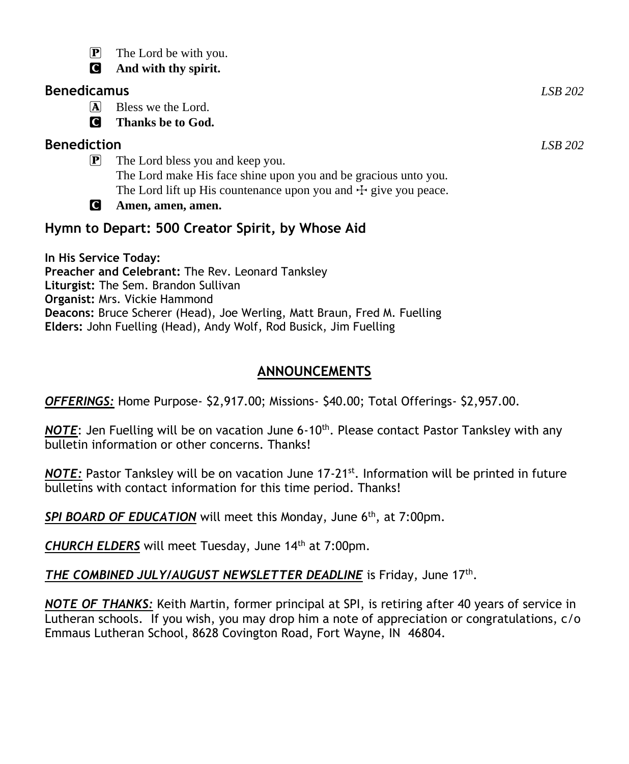$\overline{P}$  The Lord be with you.

C **And with thy spirit.**

# **Benedicamus** *LSB 202*

A Bless we the Lord.

C **Thanks be to God.**

# **Benediction** *LSB 202*

P The Lord bless you and keep you. The Lord make His face shine upon you and be gracious unto you. The Lord lift up His countenance upon you and  $\pm$  give you peace.

C **Amen, amen, amen.**

# **Hymn to Depart: 500 Creator Spirit, by Whose Aid**

**In His Service Today: Preacher and Celebrant:** The Rev. Leonard Tanksley **Liturgist:** The Sem. Brandon Sullivan **Organist:** Mrs. Vickie Hammond **Deacons:** Bruce Scherer (Head), Joe Werling, Matt Braun, Fred M. Fuelling **Elders:** John Fuelling (Head), Andy Wolf, Rod Busick, Jim Fuelling

# **ANNOUNCEMENTS**

*OFFERINGS:* Home Purpose- \$2,917.00; Missions- \$40.00; Total Offerings- \$2,957.00.

**NOTE:** Jen Fuelling will be on vacation June 6-10<sup>th</sup>. Please contact Pastor Tanksley with any bulletin information or other concerns. Thanks!

*NOTE:* Pastor Tanksley will be on vacation June 17-21st. Information will be printed in future bulletins with contact information for this time period. Thanks!

**SPI BOARD OF EDUCATION** will meet this Monday, June 6<sup>th</sup>, at 7:00pm.

*CHURCH ELDERS* will meet Tuesday, June 14th at 7:00pm.

# THE COMBINED JULY/AUGUST NEWSLETTER DEADLINE is Friday, June 17<sup>th</sup>.

*NOTE OF THANKS:* Keith Martin, former principal at SPI, is retiring after 40 years of service in Lutheran schools. If you wish, you may drop him a note of appreciation or congratulations, c/o Emmaus Lutheran School, 8628 Covington Road, Fort Wayne, IN 46804.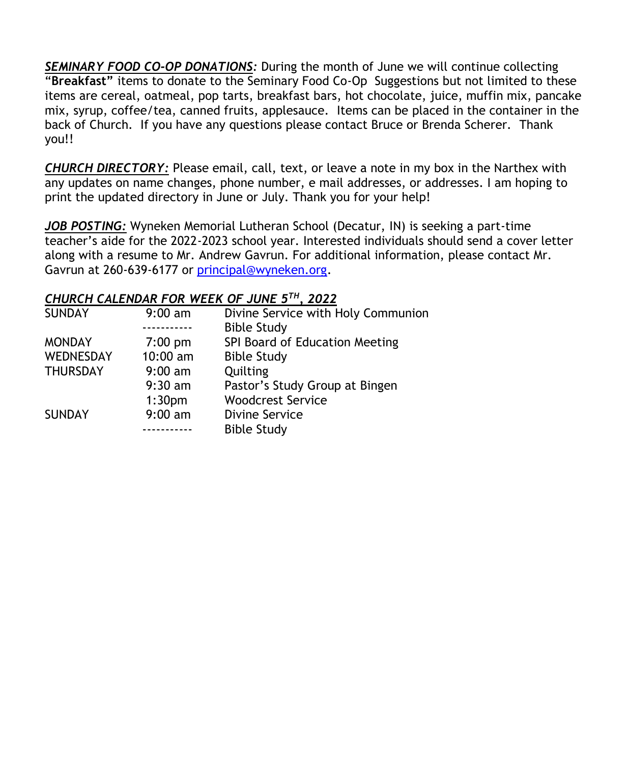*SEMINARY FOOD CO-OP DONATIONS:* During the month of June we will continue collecting "**Breakfast"** items to donate to the Seminary Food Co-Op Suggestions but not limited to these items are cereal, oatmeal, pop tarts, breakfast bars, hot chocolate, juice, muffin mix, pancake mix, syrup, coffee/tea, canned fruits, applesauce. Items can be placed in the container in the back of Church. If you have any questions please contact Bruce or Brenda Scherer. Thank you!!

*CHURCH DIRECTORY:* Please email, call, text, or leave a note in my box in the Narthex with any updates on name changes, phone number, e mail addresses, or addresses. I am hoping to print the updated directory in June or July. Thank you for your help!

*JOB POSTING:* Wyneken Memorial Lutheran School (Decatur, IN) is seeking a part-time teacher's aide for the 2022-2023 school year. Interested individuals should send a cover letter along with a resume to Mr. Andrew Gavrun. For additional information, please contact Mr. Gavrun at 260-639-6177 or [principal@wyneken.org.](mailto:principal@wyneken.org)

#### *CHURCH CALENDAR FOR WEEK OF JUNE 5TH, 2022*

| <b>SUNDAY</b>   | $9:00 \text{ am}$  | Divine Service with Holy Communion |
|-----------------|--------------------|------------------------------------|
|                 |                    | <b>Bible Study</b>                 |
| <b>MONDAY</b>   | $7:00$ pm          | SPI Board of Education Meeting     |
| WEDNESDAY       | $10:00$ am         | <b>Bible Study</b>                 |
| <b>THURSDAY</b> | $9:00$ am          | Quilting                           |
|                 | $9:30$ am          | Pastor's Study Group at Bingen     |
|                 | 1:30 <sub>pm</sub> | <b>Woodcrest Service</b>           |
| <b>SUNDAY</b>   | $9:00$ am          | Divine Service                     |
|                 |                    | <b>Bible Study</b>                 |